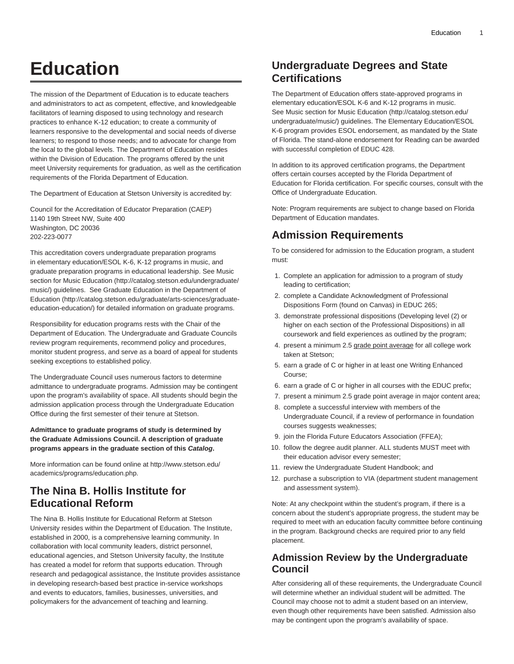# **Education**

The mission of the Department of Education is to educate teachers and administrators to act as competent, effective, and knowledgeable facilitators of learning disposed to using technology and research practices to enhance K-12 education; to create a community of learners responsive to the developmental and social needs of diverse learners; to respond to those needs; and to advocate for change from the local to the global levels. The Department of Education resides within the Division of Education. The programs offered by the unit meet University requirements for graduation, as well as the certification requirements of the Florida Department of Education.

The Department of Education at Stetson University is accredited by:

Council for the Accreditation of Educator Preparation (CAEP) 1140 19th Street NW, Suite 400 Washington, DC 20036 202-223-0077

This accreditation covers undergraduate preparation programs in elementary education/ESOL K-6, K-12 programs in music, and graduate preparation programs in educational leadership. See [Music](http://catalog.stetson.edu/undergraduate/music/) [section for Music Education](http://catalog.stetson.edu/undergraduate/music/) ([http://catalog.stetson.edu/undergraduate/](http://catalog.stetson.edu/undergraduate/music/) [music/](http://catalog.stetson.edu/undergraduate/music/)) guidelines. See [Graduate Education in the Department of](http://catalog.stetson.edu/graduate/arts-sciences/graduate-education-education/) [Education \(http://catalog.stetson.edu/graduate/arts-sciences/graduate](http://catalog.stetson.edu/graduate/arts-sciences/graduate-education-education/)[education-education/](http://catalog.stetson.edu/graduate/arts-sciences/graduate-education-education/)) for detailed information on graduate programs.

Responsibility for education programs rests with the Chair of the Department of Education. The Undergraduate and Graduate Councils review program requirements, recommend policy and procedures, monitor student progress, and serve as a board of appeal for students seeking exceptions to established policy.

The Undergraduate Council uses numerous factors to determine admittance to undergraduate programs. Admission may be contingent upon the program's availability of space. All students should begin the admission application process through the Undergraduate Education Office during the first semester of their tenure at Stetson.

**Admittance to graduate programs of study is determined by the Graduate Admissions Council. A description of graduate programs appears in the graduate section of this Catalog.**

More information can be found online at [http://www.stetson.edu/](http://www.stetson.edu/academics/programs/education.php) [academics/programs/education.php.](http://www.stetson.edu/academics/programs/education.php)

# **The Nina B. Hollis Institute for Educational Reform**

The Nina B. Hollis Institute for Educational Reform at Stetson University resides within the Department of Education. The Institute, established in 2000, is a comprehensive learning community. In collaboration with local community leaders, district personnel, educational agencies, and Stetson University faculty, the Institute has created a model for reform that supports education. Through research and pedagogical assistance, the Institute provides assistance in developing research-based best practice in-service workshops and events to educators, families, businesses, universities, and policymakers for the advancement of teaching and learning.

# **Undergraduate Degrees and State Certifications**

The Department of Education offers state-approved programs in elementary education/ESOL K-6 and K-12 programs in music. See [Music section for Music Education](http://catalog.stetson.edu/undergraduate/music/) [\(http://catalog.stetson.edu/](http://catalog.stetson.edu/undergraduate/music/) [undergraduate/music/](http://catalog.stetson.edu/undergraduate/music/)) guidelines. The Elementary Education/ESOL K-6 program provides ESOL endorsement, as mandated by the State of Florida. The stand-alone endorsement for Reading can be awarded with successful completion of EDUC 428.

In addition to its approved certification programs, the Department offers certain courses accepted by the Florida Department of Education for Florida certification. For specific courses, consult with the Office of Undergraduate Education.

Note: Program requirements are subject to change based on Florida Department of Education mandates.

# **Admission Requirements**

To be considered for admission to the Education program, a student must:

- 1. Complete an application for admission to a program of study leading to certification;
- 2. complete a Candidate Acknowledgment of Professional Dispositions Form (found on Canvas) in EDUC 265;
- 3. demonstrate professional dispositions (Developing level (2) or higher on each section of the Professional Dispositions) in all coursework and field experiences as outlined by the program;
- 4. present a minimum 2.5 grade point average for all college work taken at Stetson;
- 5. earn a grade of C or higher in at least one Writing Enhanced Course;
- 6. earn a grade of C or higher in all courses with the EDUC prefix;
- 7. present a minimum 2.5 grade point average in major content area;
- 8. complete a successful interview with members of the Undergraduate Council, if a review of performance in foundation courses suggests weaknesses;
- 9. join the Florida Future Educators Association (FFEA);
- 10. follow the degree audit planner. ALL students MUST meet with their education advisor every semester;
- 11. review the Undergraduate Student Handbook; and
- 12. purchase a subscription to VIA (department student management and assessment system).

Note: At any checkpoint within the student's program, if there is a concern about the student's appropriate progress, the student may be required to meet with an education faculty committee before continuing in the program. Background checks are required prior to any field placement.

# **Admission Review by the Undergraduate Council**

After considering all of these requirements, the Undergraduate Council will determine whether an individual student will be admitted. The Council may choose not to admit a student based on an interview, even though other requirements have been satisfied. Admission also may be contingent upon the program's availability of space.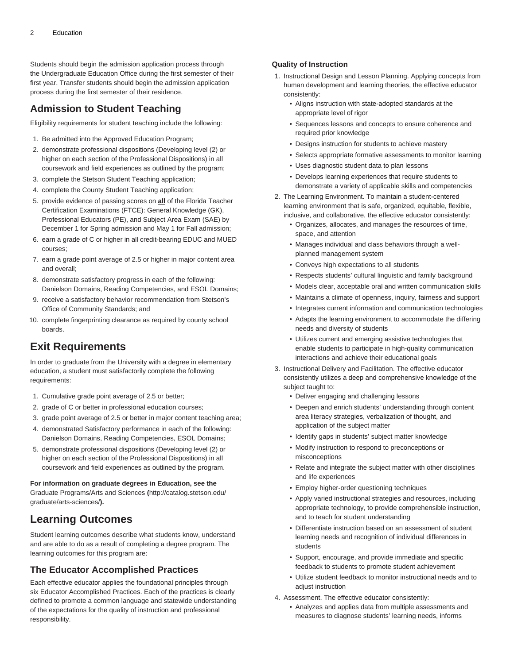Students should begin the admission application process through the Undergraduate Education Office during the first semester of their first year. Transfer students should begin the admission application process during the first semester of their residence.

# **Admission to Student Teaching**

Eligibility requirements for student teaching include the following:

- 1. Be admitted into the Approved Education Program;
- 2. demonstrate professional dispositions (Developing level (2) or higher on each section of the Professional Dispositions) in all coursework and field experiences as outlined by the program;
- 3. complete the Stetson Student Teaching application;
- 4. complete the County Student Teaching application;
- 5. provide evidence of passing scores on **all** of the Florida Teacher Certification Examinations (FTCE): General Knowledge (GK), Professional Educators (PE), and Subject Area Exam (SAE) by December 1 for Spring admission and May 1 for Fall admission;
- 6. earn a grade of C or higher in all credit-bearing EDUC and MUED courses;
- 7. earn a grade point average of 2.5 or higher in major content area and overall;
- 8. demonstrate satisfactory progress in each of the following: Danielson Domains, Reading Competencies, and ESOL Domains;
- 9. receive a satisfactory behavior recommendation from Stetson's Office of Community Standards; and
- 10. complete fingerprinting clearance as required by county school boards.

# **Exit Requirements**

In order to graduate from the University with a degree in elementary education, a student must satisfactorily complete the following requirements:

- 1. Cumulative grade point average of 2.5 or better;
- 2. grade of C or better in professional education courses;
- 3. grade point average of 2.5 or better in major content teaching area;
- 4. demonstrated Satisfactory performance in each of the following: Danielson Domains, Reading Competencies, ESOL Domains;
- 5. demonstrate professional dispositions (Developing level (2) or higher on each section of the Professional Dispositions) in all coursework and field experiences as outlined by the program.

**For information on graduate degrees in Education, see the** [Graduate Programs/Arts and Sciences](http://catalog.stetson.edu/graduate/arts-sciences/) **(**[http://catalog.stetson.edu/](http://catalog.stetson.edu/graduate/arts-sciences/) [graduate/arts-sciences/](http://catalog.stetson.edu/graduate/arts-sciences/)**).**

# **Learning Outcomes**

Student learning outcomes describe what students know, understand and are able to do as a result of completing a degree program. The learning outcomes for this program are:

# **The Educator Accomplished Practices**

Each effective educator applies the foundational principles through six Educator Accomplished Practices. Each of the practices is clearly defined to promote a common language and statewide understanding of the expectations for the quality of instruction and professional responsibility.

# **Quality of Instruction**

- 1. Instructional Design and Lesson Planning. Applying concepts from human development and learning theories, the effective educator consistently:
	- Aligns instruction with state-adopted standards at the appropriate level of rigor
	- Sequences lessons and concepts to ensure coherence and required prior knowledge
	- Designs instruction for students to achieve mastery
	- Selects appropriate formative assessments to monitor learning
	- Uses diagnostic student data to plan lessons
	- Develops learning experiences that require students to demonstrate a variety of applicable skills and competencies
- 2. The Learning Environment. To maintain a student-centered learning environment that is safe, organized, equitable, flexible, inclusive, and collaborative, the effective educator consistently:
	- Organizes, allocates, and manages the resources of time, space, and attention
	- Manages individual and class behaviors through a wellplanned management system
	- Conveys high expectations to all students
	- Respects students' cultural linguistic and family background
	- Models clear, acceptable oral and written communication skills
	- Maintains a climate of openness, inquiry, fairness and support
	- Integrates current information and communication technologies
	- Adapts the learning environment to accommodate the differing needs and diversity of students
	- Utilizes current and emerging assistive technologies that enable students to participate in high-quality communication interactions and achieve their educational goals
- 3. Instructional Delivery and Facilitation. The effective educator consistently utilizes a deep and comprehensive knowledge of the subject taught to:
	- Deliver engaging and challenging lessons
	- Deepen and enrich students' understanding through content area literacy strategies, verbalization of thought, and application of the subject matter
	- Identify gaps in students' subject matter knowledge
	- Modify instruction to respond to preconceptions or misconceptions
	- Relate and integrate the subject matter with other disciplines and life experiences
	- Employ higher-order questioning techniques
	- Apply varied instructional strategies and resources, including appropriate technology, to provide comprehensible instruction, and to teach for student understanding
	- Differentiate instruction based on an assessment of student learning needs and recognition of individual differences in students
	- Support, encourage, and provide immediate and specific feedback to students to promote student achievement
	- Utilize student feedback to monitor instructional needs and to adjust instruction
- 4. Assessment. The effective educator consistently:
	- Analyzes and applies data from multiple assessments and measures to diagnose students' learning needs, informs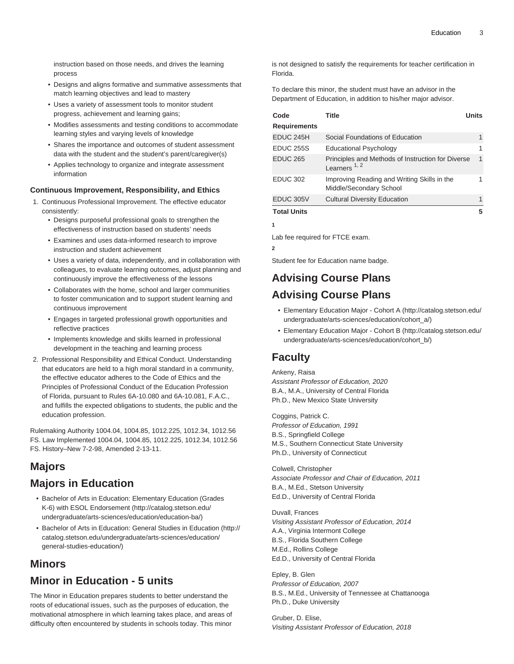instruction based on those needs, and drives the learning process

- Designs and aligns formative and summative assessments that match learning objectives and lead to mastery
- Uses a variety of assessment tools to monitor student progress, achievement and learning gains;
- Modifies assessments and testing conditions to accommodate learning styles and varying levels of knowledge
- Shares the importance and outcomes of student assessment data with the student and the student's parent/caregiver(s)
- Applies technology to organize and integrate assessment information

#### **Continuous Improvement, Responsibility, and Ethics**

- 1. Continuous Professional Improvement. The effective educator consistently:
	- Designs purposeful professional goals to strengthen the effectiveness of instruction based on students' needs
	- Examines and uses data-informed research to improve instruction and student achievement
	- Uses a variety of data, independently, and in collaboration with colleagues, to evaluate learning outcomes, adjust planning and continuously improve the effectiveness of the lessons
	- Collaborates with the home, school and larger communities to foster communication and to support student learning and continuous improvement
	- Engages in targeted professional growth opportunities and reflective practices
	- Implements knowledge and skills learned in professional development in the teaching and learning process
- 2. Professional Responsibility and Ethical Conduct. Understanding that educators are held to a high moral standard in a community, the effective educator adheres to the Code of Ethics and the Principles of Professional Conduct of the Education Profession of Florida, pursuant to Rules 6A-10.080 and 6A-10.081, F.A.C., and fulfills the expected obligations to students, the public and the education profession.

Rulemaking Authority 1004.04, 1004.85, 1012.225, 1012.34, 1012.56 FS. Law Implemented 1004.04, 1004.85, 1012.225, 1012.34, 1012.56 FS. History–New 7-2-98, Amended 2-13-11.

# **Majors**

# **Majors in Education**

- [Bachelor of Arts in Education: Elementary Education \(Grades](http://catalog.stetson.edu/undergraduate/arts-sciences/education/education-ba/) [K-6\) with ESOL Endorsement](http://catalog.stetson.edu/undergraduate/arts-sciences/education/education-ba/) ([http://catalog.stetson.edu/](http://catalog.stetson.edu/undergraduate/arts-sciences/education/education-ba/) [undergraduate/arts-sciences/education/education-ba/\)](http://catalog.stetson.edu/undergraduate/arts-sciences/education/education-ba/)
- [Bachelor of Arts in Education: General Studies in Education](http://catalog.stetson.edu/undergraduate/arts-sciences/education/general-studies-education/) [\(http://](http://catalog.stetson.edu/undergraduate/arts-sciences/education/general-studies-education/) [catalog.stetson.edu/undergraduate/arts-sciences/education/](http://catalog.stetson.edu/undergraduate/arts-sciences/education/general-studies-education/) [general-studies-education/](http://catalog.stetson.edu/undergraduate/arts-sciences/education/general-studies-education/))

# **Minors**

# **Minor in Education - 5 units**

The Minor in Education prepares students to better understand the roots of educational issues, such as the purposes of education, the motivational atmosphere in which learning takes place, and areas of difficulty often encountered by students in schools today. This minor

is not designed to satisfy the requirements for teacher certification in Florida.

To declare this minor, the student must have an advisor in the Department of Education, in addition to his/her major advisor.

| Code                | Title                                                                  | <b>Units</b> |
|---------------------|------------------------------------------------------------------------|--------------|
| <b>Requirements</b> |                                                                        |              |
| EDUC 245H           | Social Foundations of Education                                        | 1            |
| <b>EDUC 255S</b>    | <b>Educational Psychology</b>                                          |              |
| <b>EDUC 265</b>     | Principles and Methods of Instruction for Diverse<br>Learners $1, 2$   | 1            |
| <b>EDUC 302</b>     | Improving Reading and Writing Skills in the<br>Middle/Secondary School |              |
| EDUC 305V           | <b>Cultural Diversity Education</b>                                    | 1            |
| <b>Total Units</b>  |                                                                        | 5            |

Lab fee required for FTCE exam.

**2**

Student fee for Education name badge.

# **Advising Course Plans Advising Course Plans**

- [Elementary Education Major Cohort A](http://catalog.stetson.edu/undergraduate/arts-sciences/education/cohort_a/) [\(http://catalog.stetson.edu/](http://catalog.stetson.edu/undergraduate/arts-sciences/education/cohort_a/) [undergraduate/arts-sciences/education/cohort\\_a/\)](http://catalog.stetson.edu/undergraduate/arts-sciences/education/cohort_a/)
- [Elementary Education Major Cohort B](http://catalog.stetson.edu/undergraduate/arts-sciences/education/cohort_b/) [\(http://catalog.stetson.edu/](http://catalog.stetson.edu/undergraduate/arts-sciences/education/cohort_b/) [undergraduate/arts-sciences/education/cohort\\_b/\)](http://catalog.stetson.edu/undergraduate/arts-sciences/education/cohort_b/)

# **Faculty**

Ankeny, Raisa Assistant Professor of Education, 2020 B.A., M.A., University of Central Florida Ph.D., New Mexico State University

Coggins, Patrick C. Professor of Education, 1991 B.S., Springfield College M.S., Southern Connecticut State University Ph.D., University of Connecticut

Colwell, Christopher Associate Professor and Chair of Education, 2011 B.A., M.Ed., Stetson University Ed.D., University of Central Florida

Duvall, Frances Visiting Assistant Professor of Education, 2014 A.A., Virginia Intermont College B.S., Florida Southern College M.Ed., Rollins College Ed.D., University of Central Florida

Epley, B. Glen Professor of Education, 2007 B.S., M.Ed., University of Tennessee at Chattanooga Ph.D., Duke University

Gruber, D. Elise, Visiting Assistant Professor of Education, 2018

# **1**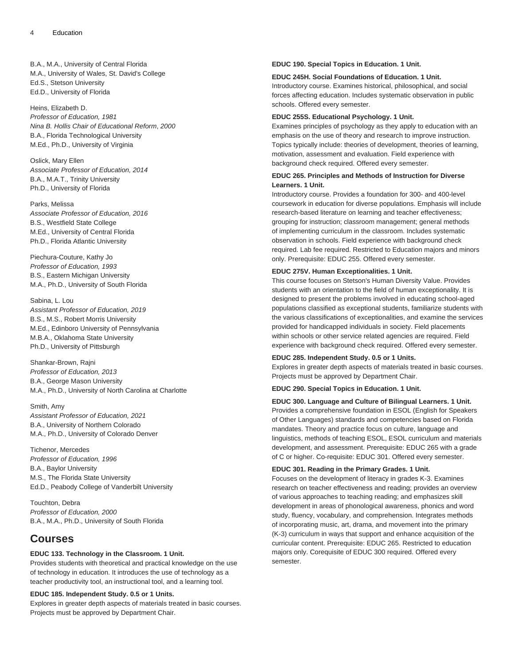B.A., M.A., University of Central Florida M.A., University of Wales, St. David's College Ed.S., Stetson University Ed.D., University of Florida

Heins, Elizabeth D. Professor of Education, 1981 Nina B. Hollis Chair of Educational Reform, 2000 B.A., Florida Technological University M.Ed., Ph.D., University of Virginia

Oslick, Mary Ellen Associate Professor of Education, 2014 B.A., M.A.T., Trinity University Ph.D., University of Florida

Parks, Melissa Associate Professor of Education, 2016 B.S., Westfield State College M.Ed., University of Central Florida Ph.D., Florida Atlantic University

Piechura-Couture, Kathy Jo Professor of Education, 1993 B.S., Eastern Michigan University M.A., Ph.D., University of South Florida

Sabina, L. Lou Assistant Professor of Education, 2019 B.S., M.S., Robert Morris University M.Ed., Edinboro University of Pennsylvania M.B.A., Oklahoma State University Ph.D., University of Pittsburgh

Shankar-Brown, Rajni Professor of Education, 2013 B.A., George Mason University M.A., Ph.D., University of North Carolina at Charlotte

Smith, Amy Assistant Professor of Education, 2021 B.A., University of Northern Colorado M.A., Ph.D., University of Colorado Denver

Tichenor, Mercedes Professor of Education, 1996 B.A., Baylor University M.S., The Florida State University Ed.D., Peabody College of Vanderbilt University

Touchton, Debra Professor of Education, 2000 B.A., M.A., Ph.D., University of South Florida

# **Courses**

### **EDUC 133. Technology in the Classroom. 1 Unit.**

Provides students with theoretical and practical knowledge on the use of technology in education. It introduces the use of technology as a teacher productivity tool, an instructional tool, and a learning tool.

**EDUC 185. Independent Study. 0.5 or 1 Units.**

Explores in greater depth aspects of materials treated in basic courses. Projects must be approved by Department Chair.

#### **EDUC 190. Special Topics in Education. 1 Unit.**

#### **EDUC 245H. Social Foundations of Education. 1 Unit.**

Introductory course. Examines historical, philosophical, and social forces affecting education. Includes systematic observation in public schools. Offered every semester.

#### **EDUC 255S. Educational Psychology. 1 Unit.**

Examines principles of psychology as they apply to education with an emphasis on the use of theory and research to improve instruction. Topics typically include: theories of development, theories of learning, motivation, assessment and evaluation. Field experience with background check required. Offered every semester.

# **EDUC 265. Principles and Methods of Instruction for Diverse Learners. 1 Unit.**

Introductory course. Provides a foundation for 300- and 400-level coursework in education for diverse populations. Emphasis will include research-based literature on learning and teacher effectiveness; grouping for instruction; classroom management; general methods of implementing curriculum in the classroom. Includes systematic observation in schools. Field experience with background check required. Lab fee required. Restricted to Education majors and minors only. Prerequisite: EDUC 255. Offered every semester.

### **EDUC 275V. Human Exceptionalities. 1 Unit.**

This course focuses on Stetson's Human Diversity Value. Provides students with an orientation to the field of human exceptionality. It is designed to present the problems involved in educating school-aged populations classified as exceptional students, familiarize students with the various classifications of exceptionalities, and examine the services provided for handicapped individuals in society. Field placements within schools or other service related agencies are required. Field experience with background check required. Offered every semester.

### **EDUC 285. Independent Study. 0.5 or 1 Units.**

Explores in greater depth aspects of materials treated in basic courses. Projects must be approved by Department Chair.

### **EDUC 290. Special Topics in Education. 1 Unit.**

**EDUC 300. Language and Culture of Bilingual Learners. 1 Unit.** Provides a comprehensive foundation in ESOL (English for Speakers of Other Languages) standards and competencies based on Florida mandates. Theory and practice focus on culture, language and linguistics, methods of teaching ESOL, ESOL curriculum and materials development, and assessment. Prerequisite: EDUC 265 with a grade of C or higher. Co-requisite: EDUC 301. Offered every semester.

### **EDUC 301. Reading in the Primary Grades. 1 Unit.**

Focuses on the development of literacy in grades K-3. Examines research on teacher effectiveness and reading; provides an overview of various approaches to teaching reading; and emphasizes skill development in areas of phonological awareness, phonics and word study, fluency, vocabulary, and comprehension. Integrates methods of incorporating music, art, drama, and movement into the primary (K-3) curriculum in ways that support and enhance acquisition of the curricular content. Prerequisite: EDUC 265. Restricted to education majors only. Corequisite of EDUC 300 required. Offered every semester.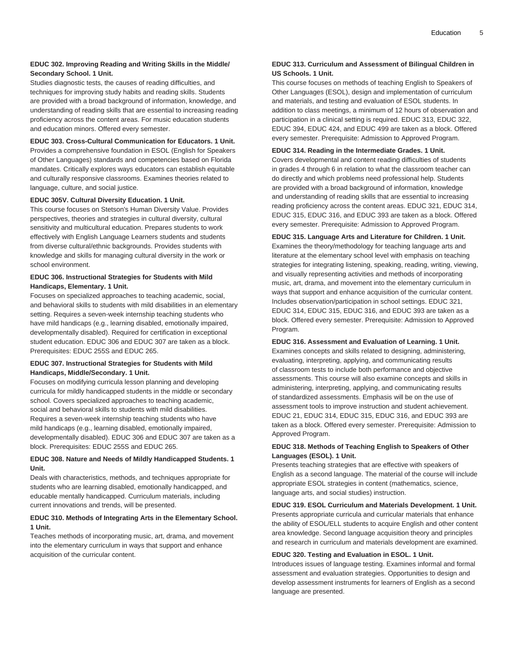# **EDUC 302. Improving Reading and Writing Skills in the Middle/ Secondary School. 1 Unit.**

Studies diagnostic tests, the causes of reading difficulties, and techniques for improving study habits and reading skills. Students are provided with a broad background of information, knowledge, and understanding of reading skills that are essential to increasing reading proficiency across the content areas. For music education students and education minors. Offered every semester.

### **EDUC 303. Cross-Cultural Communication for Educators. 1 Unit.**

Provides a comprehensive foundation in ESOL (English for Speakers of Other Languages) standards and competencies based on Florida mandates. Critically explores ways educators can establish equitable and culturally responsive classrooms. Examines theories related to language, culture, and social justice.

#### **EDUC 305V. Cultural Diversity Education. 1 Unit.**

This course focuses on Stetson's Human Diversity Value. Provides perspectives, theories and strategies in cultural diversity, cultural sensitivity and multicultural education. Prepares students to work effectively with English Language Learners students and students from diverse cultural/ethnic backgrounds. Provides students with knowledge and skills for managing cultural diversity in the work or school environment.

# **EDUC 306. Instructional Strategies for Students with Mild Handicaps, Elementary. 1 Unit.**

Focuses on specialized approaches to teaching academic, social, and behavioral skills to students with mild disabilities in an elementary setting. Requires a seven-week internship teaching students who have mild handicaps (e.g., learning disabled, emotionally impaired, developmentally disabled). Required for certification in exceptional student education. EDUC 306 and EDUC 307 are taken as a block. Prerequisites: EDUC 255S and EDUC 265.

# **EDUC 307. Instructional Strategies for Students with Mild Handicaps, Middle/Secondary. 1 Unit.**

Focuses on modifying curricula lesson planning and developing curricula for mildly handicapped students in the middle or secondary school. Covers specialized approaches to teaching academic, social and behavioral skills to students with mild disabilities. Requires a seven-week internship teaching students who have mild handicaps (e.g., learning disabled, emotionally impaired, developmentally disabled). EDUC 306 and EDUC 307 are taken as a block. Prerequisites: EDUC 255S and EDUC 265.

### **EDUC 308. Nature and Needs of Mildly Handicapped Students. 1 Unit.**

Deals with characteristics, methods, and techniques appropriate for students who are learning disabled, emotionally handicapped, and educable mentally handicapped. Curriculum materials, including current innovations and trends, will be presented.

### **EDUC 310. Methods of Integrating Arts in the Elementary School. 1 Unit.**

Teaches methods of incorporating music, art, drama, and movement into the elementary curriculum in ways that support and enhance acquisition of the curricular content.

# **EDUC 313. Curriculum and Assessment of Bilingual Children in US Schools. 1 Unit.**

This course focuses on methods of teaching English to Speakers of Other Languages (ESOL), design and implementation of curriculum and materials, and testing and evaluation of ESOL students. In addition to class meetings, a minimum of 12 hours of observation and participation in a clinical setting is required. EDUC 313, EDUC 322, EDUC 394, EDUC 424, and EDUC 499 are taken as a block. Offered every semester. Prerequisite: Admission to Approved Program.

### **EDUC 314. Reading in the Intermediate Grades. 1 Unit.**

Covers developmental and content reading difficulties of students in grades 4 through 6 in relation to what the classroom teacher can do directly and which problems need professional help. Students are provided with a broad background of information, knowledge and understanding of reading skills that are essential to increasing reading proficiency across the content areas. EDUC 321, EDUC 314, EDUC 315, EDUC 316, and EDUC 393 are taken as a block. Offered every semester. Prerequisite: Admission to Approved Program.

# **EDUC 315. Language Arts and Literature for Children. 1 Unit.** Examines the theory/methodology for teaching language arts and literature at the elementary school level with emphasis on teaching strategies for integrating listening, speaking, reading, writing, viewing, and visually representing activities and methods of incorporating music, art, drama, and movement into the elementary curriculum in ways that support and enhance acquisition of the curricular content. Includes observation/participation in school settings. EDUC 321, EDUC 314, EDUC 315, EDUC 316, and EDUC 393 are taken as a block. Offered every semester. Prerequisite: Admission to Approved Program.

#### **EDUC 316. Assessment and Evaluation of Learning. 1 Unit.**

Examines concepts and skills related to designing, administering, evaluating, interpreting, applying, and communicating results of classroom tests to include both performance and objective assessments. This course will also examine concepts and skills in administering, interpreting, applying, and communicating results of standardized assessments. Emphasis will be on the use of assessment tools to improve instruction and student achievement. EDUC 21, EDUC 314, EDUC 315, EDUC 316, and EDUC 393 are taken as a block. Offered every semester. Prerequisite: Admission to Approved Program.

### **EDUC 318. Methods of Teaching English to Speakers of Other Languages (ESOL). 1 Unit.**

Presents teaching strategies that are effective with speakers of English as a second language. The material of the course will include appropriate ESOL strategies in content (mathematics, science, language arts, and social studies) instruction.

#### **EDUC 319. ESOL Curriculum and Materials Development. 1 Unit.**

Presents appropriate curricula and curricular materials that enhance the ability of ESOL/ELL students to acquire English and other content area knowledge. Second language acquisition theory and principles and research in curriculum and materials development are examined.

#### **EDUC 320. Testing and Evaluation in ESOL. 1 Unit.**

Introduces issues of language testing. Examines informal and formal assessment and evaluation strategies. Opportunities to design and develop assessment instruments for learners of English as a second language are presented.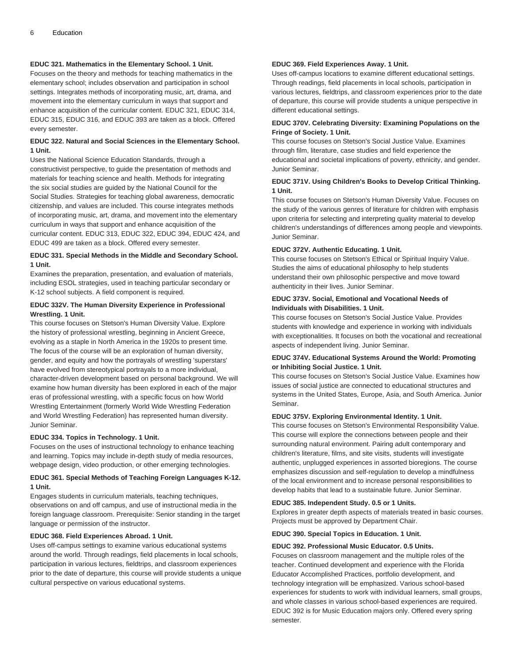#### **EDUC 321. Mathematics in the Elementary School. 1 Unit.**

Focuses on the theory and methods for teaching mathematics in the elementary school; includes observation and participation in school settings. Integrates methods of incorporating music, art, drama, and movement into the elementary curriculum in ways that support and enhance acquisition of the curricular content. EDUC 321, EDUC 314, EDUC 315, EDUC 316, and EDUC 393 are taken as a block. Offered every semester.

### **EDUC 322. Natural and Social Sciences in the Elementary School. 1 Unit.**

Uses the National Science Education Standards, through a constructivist perspective, to guide the presentation of methods and materials for teaching science and health. Methods for integrating the six social studies are guided by the National Council for the Social Studies. Strategies for teaching global awareness, democratic citizenship, and values are included. This course integrates methods of incorporating music, art, drama, and movement into the elementary curriculum in ways that support and enhance acquisition of the curricular content. EDUC 313, EDUC 322, EDUC 394, EDUC 424, and EDUC 499 are taken as a block. Offered every semester.

#### **EDUC 331. Special Methods in the Middle and Secondary School. 1 Unit.**

Examines the preparation, presentation, and evaluation of materials, including ESOL strategies, used in teaching particular secondary or K-12 school subjects. A field component is required.

#### **EDUC 332V. The Human Diversity Experience in Professional Wrestling. 1 Unit.**

This course focuses on Stetson's Human Diversity Value. Explore the history of professional wrestling, beginning in Ancient Greece, evolving as a staple in North America in the 1920s to present time. The focus of the course will be an exploration of human diversity, gender, and equity and how the portrayals of wrestling 'superstars' have evolved from stereotypical portrayals to a more individual, character-driven development based on personal background. We will examine how human diversity has been explored in each of the major eras of professional wrestling, with a specific focus on how World Wrestling Entertainment (formerly World Wide Wrestling Federation and World Wrestling Federation) has represented human diversity. Junior Seminar.

### **EDUC 334. Topics in Technology. 1 Unit.**

Focuses on the uses of instructional technology to enhance teaching and learning. Topics may include in-depth study of media resources, webpage design, video production, or other emerging technologies.

### **EDUC 361. Special Methods of Teaching Foreign Languages K-12. 1 Unit.**

Engages students in curriculum materials, teaching techniques, observations on and off campus, and use of instructional media in the foreign language classroom. Prerequisite: Senior standing in the target language or permission of the instructor.

#### **EDUC 368. Field Experiences Abroad. 1 Unit.**

Uses off-campus settings to examine various educational systems around the world. Through readings, field placements in local schools, participation in various lectures, fieldtrips, and classroom experiences prior to the date of departure, this course will provide students a unique cultural perspective on various educational systems.

### **EDUC 369. Field Experiences Away. 1 Unit.**

Uses off-campus locations to examine different educational settings. Through readings, field placements in local schools, participation in various lectures, fieldtrips, and classroom experiences prior to the date of departure, this course will provide students a unique perspective in different educational settings.

#### **EDUC 370V. Celebrating Diversity: Examining Populations on the Fringe of Society. 1 Unit.**

This course focuses on Stetson's Social Justice Value. Examines through film, literature, case studies and field experience the educational and societal implications of poverty, ethnicity, and gender. Junior Seminar.

#### **EDUC 371V. Using Children's Books to Develop Critical Thinking. 1 Unit.**

This course focuses on Stetson's Human Diversity Value. Focuses on the study of the various genres of literature for children with emphasis upon criteria for selecting and interpreting quality material to develop children's understandings of differences among people and viewpoints. Junior Seminar.

#### **EDUC 372V. Authentic Educating. 1 Unit.**

This course focuses on Stetson's Ethical or Spiritual Inquiry Value. Studies the aims of educational philosophy to help students understand their own philosophic perspective and move toward authenticity in their lives. Junior Seminar.

# **EDUC 373V. Social, Emotional and Vocational Needs of Individuals with Disabilities. 1 Unit.**

This course focuses on Stetson's Social Justice Value. Provides students with knowledge and experience in working with individuals with exceptionalities. It focuses on both the vocational and recreational aspects of independent living. Junior Seminar.

#### **EDUC 374V. Educational Systems Around the World: Promoting or Inhibiting Social Justice. 1 Unit.**

This course focuses on Stetson's Social Justice Value. Examines how issues of social justice are connected to educational structures and systems in the United States, Europe, Asia, and South America. Junior Seminar.

#### **EDUC 375V. Exploring Environmental Identity. 1 Unit.**

This course focuses on Stetson's Environmental Responsibility Value. This course will explore the connections between people and their surrounding natural environment. Pairing adult contemporary and children's literature, films, and site visits, students will investigate authentic, unplugged experiences in assorted bioregions. The course emphasizes discussion and self-regulation to develop a mindfulness of the local environment and to increase personal responsibilities to develop habits that lead to a sustainable future. Junior Seminar.

### **EDUC 385. Independent Study. 0.5 or 1 Units.**

Explores in greater depth aspects of materials treated in basic courses. Projects must be approved by Department Chair.

### **EDUC 390. Special Topics in Education. 1 Unit.**

#### **EDUC 392. Professional Music Educator. 0.5 Units.**

Focuses on classroom management and the multiple roles of the teacher. Continued development and experience with the Florida Educator Accomplished Practices, portfolio development, and technology integration will be emphasized. Various school-based experiences for students to work with individual learners, small groups, and whole classes in various school-based experiences are required. EDUC 392 is for Music Education majors only. Offered every spring semester.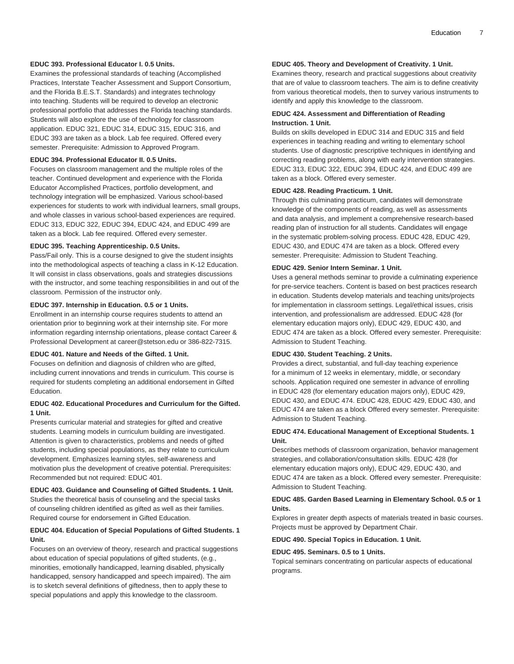#### **EDUC 393. Professional Educator I. 0.5 Units.**

Examines the professional standards of teaching (Accomplished Practices, Interstate Teacher Assessment and Support Consortium, and the Florida B.E.S.T. Standards) and integrates technology into teaching. Students will be required to develop an electronic professional portfolio that addresses the Florida teaching standards. Students will also explore the use of technology for classroom application. EDUC 321, EDUC 314, EDUC 315, EDUC 316, and EDUC 393 are taken as a block. Lab fee required. Offered every semester. Prerequisite: Admission to Approved Program.

#### **EDUC 394. Professional Educator II. 0.5 Units.**

Focuses on classroom management and the multiple roles of the teacher. Continued development and experience with the Florida Educator Accomplished Practices, portfolio development, and technology integration will be emphasized. Various school-based experiences for students to work with individual learners, small groups, and whole classes in various school-based experiences are required. EDUC 313, EDUC 322, EDUC 394, EDUC 424, and EDUC 499 are taken as a block. Lab fee required. Offered every semester.

#### **EDUC 395. Teaching Apprenticeship. 0.5 Units.**

Pass/Fail only. This is a course designed to give the student insights into the methodological aspects of teaching a class in K-12 Education. It will consist in class observations, goals and strategies discussions with the instructor, and some teaching responsibilities in and out of the classroom. Permission of the instructor only.

#### **EDUC 397. Internship in Education. 0.5 or 1 Units.**

Enrollment in an internship course requires students to attend an orientation prior to beginning work at their internship site. For more information regarding internship orientations, please contact Career & Professional Development at career@stetson.edu or 386-822-7315.

#### **EDUC 401. Nature and Needs of the Gifted. 1 Unit.**

Focuses on definition and diagnosis of children who are gifted, including current innovations and trends in curriculum. This course is required for students completing an additional endorsement in Gifted Education.

# **EDUC 402. Educational Procedures and Curriculum for the Gifted. 1 Unit.**

Presents curricular material and strategies for gifted and creative students. Learning models in curriculum building are investigated. Attention is given to characteristics, problems and needs of gifted students, including special populations, as they relate to curriculum development. Emphasizes learning styles, self-awareness and motivation plus the development of creative potential. Prerequisites: Recommended but not required: EDUC 401.

### **EDUC 403. Guidance and Counseling of Gifted Students. 1 Unit.** Studies the theoretical basis of counseling and the special tasks of counseling children identified as gifted as well as their families. Required course for endorsement in Gifted Education.

### **EDUC 404. Education of Special Populations of Gifted Students. 1 Unit.**

Focuses on an overview of theory, research and practical suggestions about education of special populations of gifted students, (e.g., minorities, emotionally handicapped, learning disabled, physically handicapped, sensory handicapped and speech impaired). The aim is to sketch several definitions of giftedness, then to apply these to special populations and apply this knowledge to the classroom.

# **EDUC 405. Theory and Development of Creativity. 1 Unit.**

Examines theory, research and practical suggestions about creativity that are of value to classroom teachers. The aim is to define creativity from various theoretical models, then to survey various instruments to identify and apply this knowledge to the classroom.

#### **EDUC 424. Assessment and Differentiation of Reading Instruction. 1 Unit.**

Builds on skills developed in EDUC 314 and EDUC 315 and field experiences in teaching reading and writing to elementary school students. Use of diagnostic prescriptive techniques in identifying and correcting reading problems, along with early intervention strategies. EDUC 313, EDUC 322, EDUC 394, EDUC 424, and EDUC 499 are taken as a block. Offered every semester.

#### **EDUC 428. Reading Practicum. 1 Unit.**

Through this culminating practicum, candidates will demonstrate knowledge of the components of reading, as well as assessments and data analysis, and implement a comprehensive research-based reading plan of instruction for all students. Candidates will engage in the systematic problem-solving process. EDUC 428, EDUC 429, EDUC 430, and EDUC 474 are taken as a block. Offered every semester. Prerequisite: Admission to Student Teaching.

#### **EDUC 429. Senior Intern Seminar. 1 Unit.**

Uses a general methods seminar to provide a culminating experience for pre-service teachers. Content is based on best practices research in education. Students develop materials and teaching units/projects for implementation in classroom settings. Legal/ethical issues, crisis intervention, and professionalism are addressed. EDUC 428 (for elementary education majors only), EDUC 429, EDUC 430, and EDUC 474 are taken as a block. Offered every semester. Prerequisite: Admission to Student Teaching.

### **EDUC 430. Student Teaching. 2 Units.**

Provides a direct, substantial, and full-day teaching experience for a minimum of 12 weeks in elementary, middle, or secondary schools. Application required one semester in advance of enrolling in EDUC 428 (for elementary education majors only), EDUC 429, EDUC 430, and EDUC 474. EDUC 428, EDUC 429, EDUC 430, and EDUC 474 are taken as a block Offered every semester. Prerequisite: Admission to Student Teaching.

### **EDUC 474. Educational Management of Exceptional Students. 1 Unit.**

Describes methods of classroom organization, behavior management strategies, and collaboration/consultation skills. EDUC 428 (for elementary education majors only), EDUC 429, EDUC 430, and EDUC 474 are taken as a block. Offered every semester. Prerequisite: Admission to Student Teaching.

### **EDUC 485. Garden Based Learning in Elementary School. 0.5 or 1 Units.**

Explores in greater depth aspects of materials treated in basic courses. Projects must be approved by Department Chair.

### **EDUC 490. Special Topics in Education. 1 Unit.**

### **EDUC 495. Seminars. 0.5 to 1 Units.**

Topical seminars concentrating on particular aspects of educational programs.